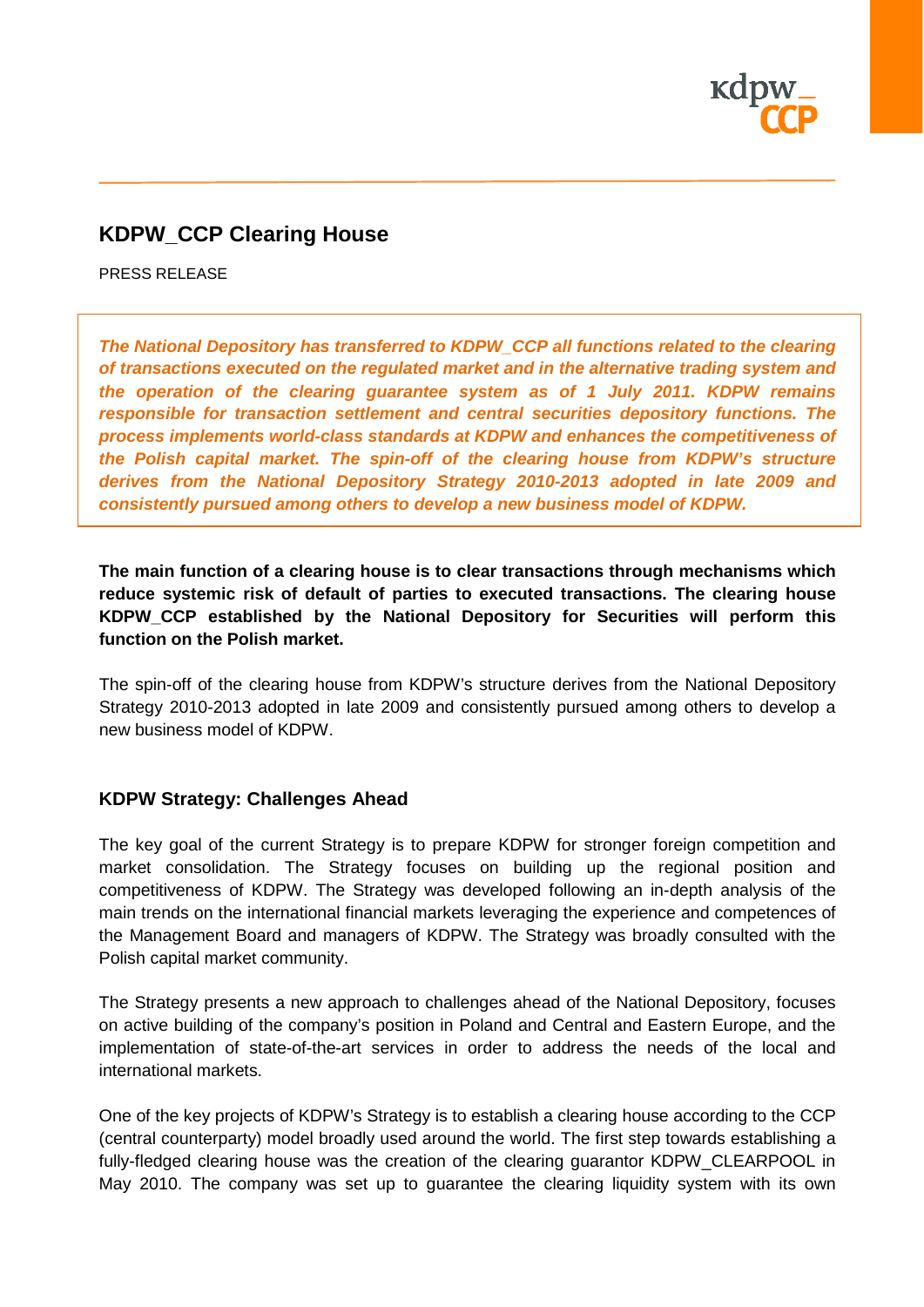

# **KDPW\_CCP Clearing House**

PRESS RELEASE

*The National Depository has transferred to KDPW\_CCP all functions related to the clearing of transactions executed on the regulated market and in the alternative trading system and the operation of the clearing guarantee system as of 1 July 2011. KDPW remains responsible for transaction settlement and central securities depository functions. The process implements world-class standards at KDPW and enhances the competitiveness of the Polish capital market. The spin-off of the clearing house from KDPW's structure derives from the National Depository Strategy 2010-2013 adopted in late 2009 and consistently pursued among others to develop a new business model of KDPW.*

**The main function of a clearing house is to clear transactions through mechanisms which reduce systemic risk of default of parties to executed transactions. The clearing house KDPW\_CCP established by the National Depository for Securities will perform this function on the Polish market.**

The spin-off of the clearing house from KDPW's structure derives from the National Depository Strategy 2010-2013 adopted in late 2009 and consistently pursued among others to develop a new business model of KDPW.

#### **KDPW Strategy: Challenges Ahead**

The key goal of the current Strategy is to prepare KDPW for stronger foreign competition and market consolidation. The Strategy focuses on building up the regional position and competitiveness of KDPW. The Strategy was developed following an in-depth analysis of the main trends on the international financial markets leveraging the experience and competences of the Management Board and managers of KDPW. The Strategy was broadly consulted with the Polish capital market community.

The Strategy presents a new approach to challenges ahead of the National Depository, focuses on active building of the company's position in Poland and Central and Eastern Europe, and the implementation of state-of-the-art services in order to address the needs of the local and international markets.

One of the key projects of KDPW's Strategy is to establish a clearing house according to the CCP (central counterparty) model broadly used around the world. The first step towards establishing a fully-fledged clearing house was the creation of the clearing guarantor KDPW\_CLEARPOOL in May 2010. The company was set up to guarantee the clearing liquidity system with its own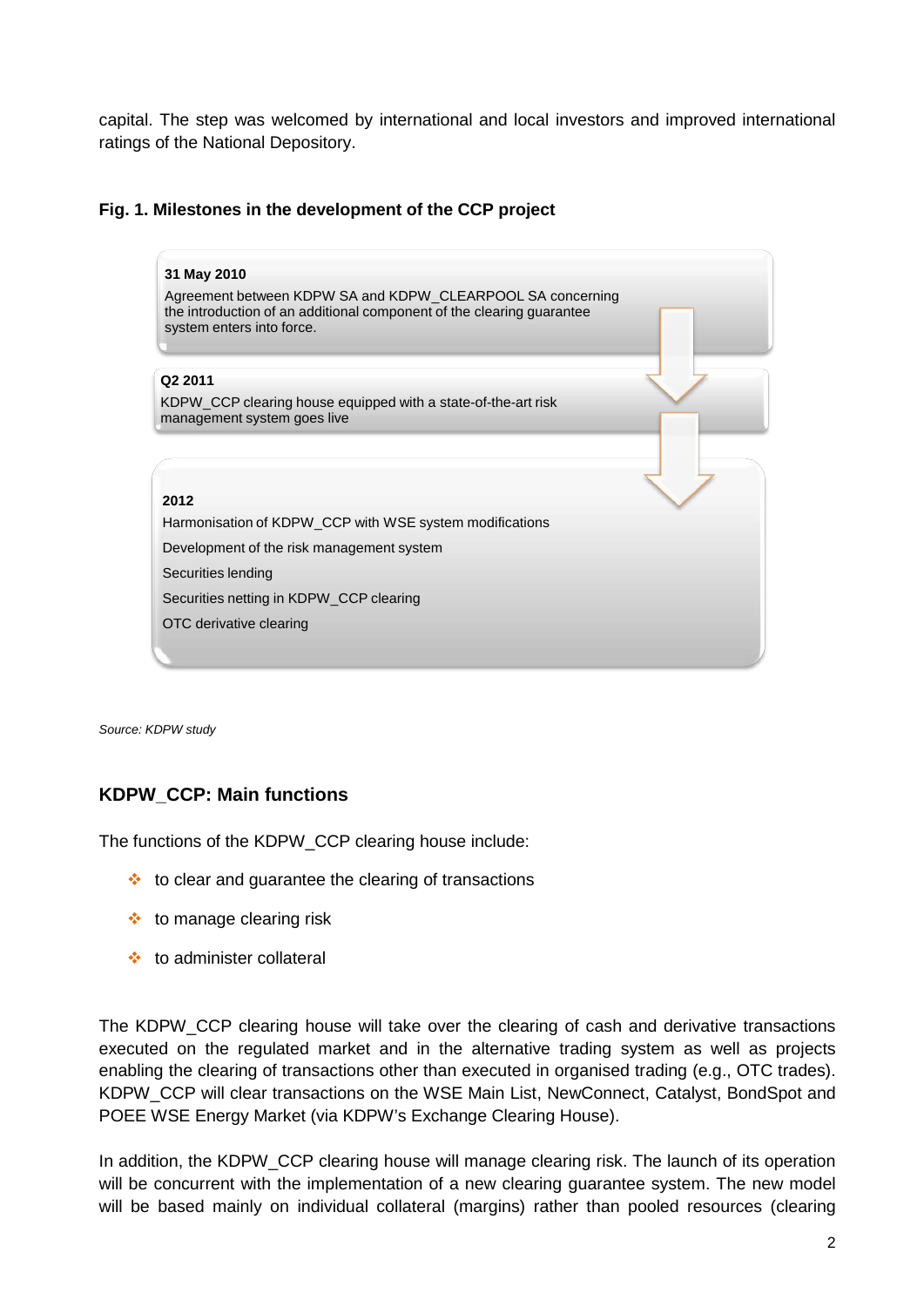capital. The step was welcomed by international and local investors and improved international ratings of the National Depository.

#### **Fig. 1. Milestones in the development of the CCP project**



*Source: KDPW study*

### **KDPW\_CCP: Main functions**

The functions of the KDPW\_CCP clearing house include:

- $\cdot$  to clear and quarantee the clearing of transactions
- $\cdot$  to manage clearing risk
- to administer collateral

The KDPW\_CCP clearing house will take over the clearing of cash and derivative transactions executed on the regulated market and in the alternative trading system as well as projects enabling the clearing of transactions other than executed in organised trading (e.g., OTC trades). KDPW\_CCP will clear transactions on the WSE Main List, NewConnect, Catalyst, BondSpot and POEE WSE Energy Market (via KDPW's Exchange Clearing House).

In addition, the KDPW\_CCP clearing house will manage clearing risk. The launch of its operation will be concurrent with the implementation of a new clearing guarantee system. The new model will be based mainly on individual collateral (margins) rather than pooled resources (clearing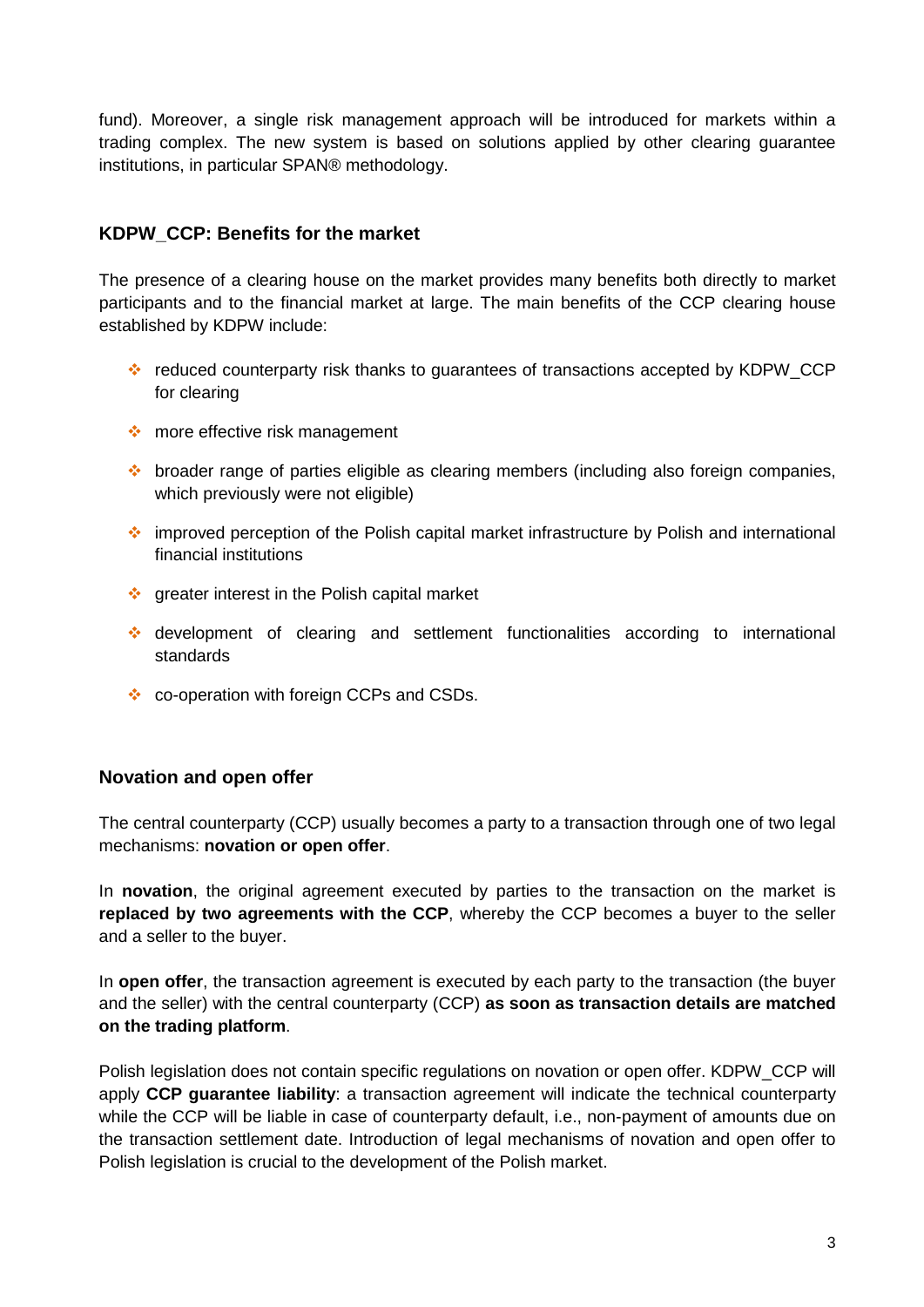fund). Moreover, a single risk management approach will be introduced for markets within a trading complex. The new system is based on solutions applied by other clearing guarantee institutions, in particular SPAN® methodology.

## **KDPW\_CCP: Benefits for the market**

The presence of a clearing house on the market provides many benefits both directly to market participants and to the financial market at large. The main benefits of the CCP clearing house established by KDPW include:

- reduced counterparty risk thanks to quarantees of transactions accepted by KDPW\_CCP for clearing
- more effective risk management
- $\cdot$  broader range of parties eligible as clearing members (including also foreign companies, which previously were not eligible)
- improved perception of the Polish capital market infrastructure by Polish and international financial institutions
- $\div$  greater interest in the Polish capital market
- development of clearing and settlement functionalities according to international standards
- ❖ co-operation with foreign CCPs and CSDs.

### **Novation and open offer**

The central counterparty (CCP) usually becomes a party to a transaction through one of two legal mechanisms: **novation or open offer**.

In **novation**, the original agreement executed by parties to the transaction on the market is **replaced by two agreements with the CCP**, whereby the CCP becomes a buyer to the seller and a seller to the buyer.

In **open offer**, the transaction agreement is executed by each party to the transaction (the buyer and the seller) with the central counterparty (CCP) **as soon as transaction details are matched on the trading platform**.

Polish legislation does not contain specific regulations on novation or open offer. KDPW\_CCP will apply **CCP guarantee liability**: a transaction agreement will indicate the technical counterparty while the CCP will be liable in case of counterparty default, i.e., non-payment of amounts due on the transaction settlement date. Introduction of legal mechanisms of novation and open offer to Polish legislation is crucial to the development of the Polish market.